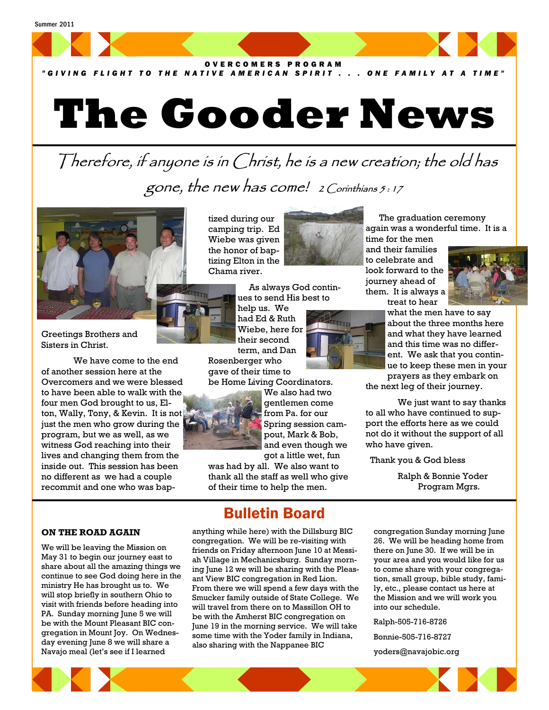

*"GIVING FLIGHT TO THE NATIVE AMERICAN SPIRIT . . . ONE FAMILY AT A TIME"*

# **The Gooder News**

Therefore, if anyone is in Christ, he is a new creation; the old has gone, the new has come! 2 Corinthians 5 : 17



Greetings Brothers and Sisters in Christ.

 We have come to the end of another session here at the Overcomers and we were blessed to have been able to walk with the four men God brought to us, Elton, Wally, Tony, & Kevin. It is not just the men who grow during the program, but we as well, as we witness God reaching into their lives and changing them from the inside out. This session has been no different as we had a couple recommit and one who was bap-

tized during our camping trip. Ed Wiebe was given the honor of baptizing Elton in the Chama river.

> As always God continues to send His best to

help us. We had Ed & Ruth Wiebe, here for their second term, and Dan

Rosenberger who gave of their time to

be Home Living Coordinators. We also had two



gentlemen come from Pa. for our Spring session campout, Mark & Bob, and even though we got a little wet, fun

was had by all. We also want to thank all the staff as well who give of their time to help the men.

 The graduation ceremony again was a wonderful time. It is a

time for the men and their families to celebrate and look forward to the journey ahead of them. It is always a treat to hear



what the men have to say about the three months here and what they have learned and this time was no different. We ask that you continue to keep these men in your prayers as they embark on

the next leg of their journey.

 We just want to say thanks to all who have continued to support the efforts here as we could not do it without the support of all who have given.

Thank you & God bless

 Ralph & Bonnie Yoder Program Mgrs.

### **ON THE ROAD AGAIN**

We will be leaving the Mission on May 31 to begin our journey east to share about all the amazing things we continue to see God doing here in the ministry He has brought us to. We will stop briefly in southern Ohio to visit with friends before heading into PA. Sunday morning June 5 we will be with the Mount Pleasant BIC congregation in Mount Joy. On Wednesday evening June 8 we will share a Navajo meal (let's see if I learned

## Bulletin Board

anything while here) with the Dillsburg BIC congregation. We will be re-visiting with friends on Friday afternoon June 10 at Messiah Village in Mechanicsburg. Sunday morning June 12 we will be sharing with the Pleasant View BIC congregation in Red Lion. From there we will spend a few days with the Smucker family outside of State College. We will travel from there on to Massillon OH to be with the Amherst BIC congregation on June 19 in the morning service. We will take some time with the Yoder family in Indiana, also sharing with the Nappanee BIC

congregation Sunday morning June 26. We will be heading home from there on June 30. If we will be in your area and you would like for us to come share with your congregation, small group, bible study, family, etc., please contact us here at the Mission and we will work you into our schedule.

Ralph-505-716-8726

Bonnie-505-716-8727

yoders@navajobic.org